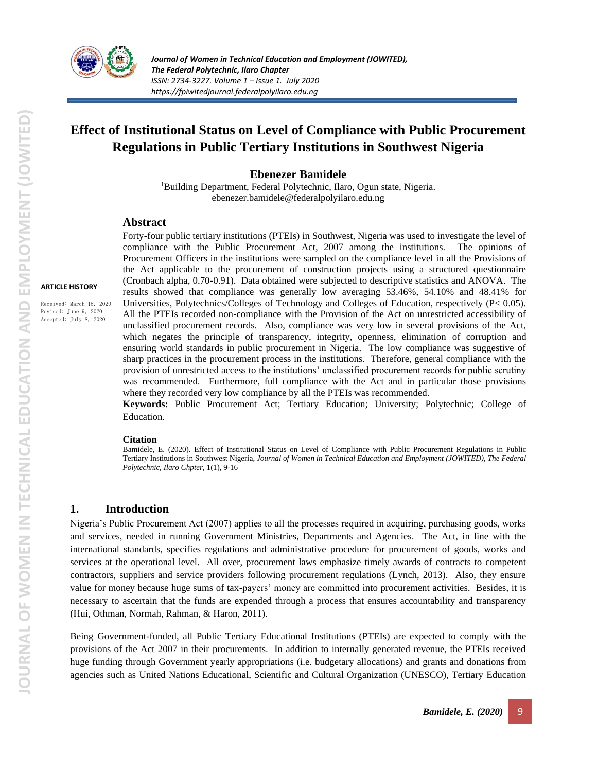

# **Effect of Institutional Status on Level of Compliance with Public Procurement Regulations in Public Tertiary Institutions in Southwest Nigeria**

### **Ebenezer Bamidele**

<sup>1</sup>Building Department, Federal Polytechnic, Ilaro, Ogun state, Nigeria. [ebenezer.bamidele@federalpolyilaro.edu.ng](mailto:ebenezer.bamidele@federalpolyilaro.edu.ng)

#### **Abstract**

Forty-four public tertiary institutions (PTEIs) in Southwest, Nigeria was used to investigate the level of compliance with the Public Procurement Act, 2007 among the institutions. The opinions of Procurement Officers in the institutions were sampled on the compliance level in all the Provisions of the Act applicable to the procurement of construction projects using a structured questionnaire (Cronbach alpha, 0.70-0.91). Data obtained were subjected to descriptive statistics and ANOVA. The results showed that compliance was generally low averaging 53.46%, 54.10% and 48.41% for Universities, Polytechnics/Colleges of Technology and Colleges of Education, respectively (P< 0.05). All the PTEIs recorded non-compliance with the Provision of the Act on unrestricted accessibility of unclassified procurement records. Also, compliance was very low in several provisions of the Act, which negates the principle of transparency, integrity, openness, elimination of corruption and ensuring world standards in public procurement in Nigeria. The low compliance was suggestive of sharp practices in the procurement process in the institutions. Therefore, general compliance with the provision of unrestricted access to the institutions' unclassified procurement records for public scrutiny was recommended. Furthermore, full compliance with the Act and in particular those provisions where they recorded very low compliance by all the PTEIs was recommended.

**Keywords:** Public Procurement Act; Tertiary Education; University; Polytechnic; College of Education.

#### **Citation**

Bamidele, E. (2020). Effect of Institutional Status on Level of Compliance with Public Procurement Regulations in Public Tertiary Institutions in Southwest Nigeria, *Journal of Women in Technical Education and Employment (JOWITED), The Federal Polytechnic, Ilaro Chpter*, 1(1), 9-16

#### **1. Introduction**

Nigeria's Public Procurement Act (2007) applies to all the processes required in acquiring, purchasing goods, works and services, needed in running Government Ministries, Departments and Agencies. The Act, in line with the international standards, specifies regulations and administrative procedure for procurement of goods, works and services at the operational level. All over, procurement laws emphasize timely awards of contracts to competent contractors, suppliers and service providers following procurement regulations (Lynch, 2013). Also, they ensure value for money because huge sums of tax-payers' money are committed into procurement activities. Besides, it is necessary to ascertain that the funds are expended through a process that ensures accountability and transparency (Hui, Othman, Normah, Rahman, & Haron, 2011).

Being Government-funded, all Public Tertiary Educational Institutions (PTEIs) are expected to comply with the provisions of the Act 2007 in their procurements. In addition to internally generated revenue, the PTEIs received huge funding through Government yearly appropriations (i.e. budgetary allocations) and grants and donations from agencies such as United Nations Educational, Scientific and Cultural Organization (UNESCO), Tertiary Education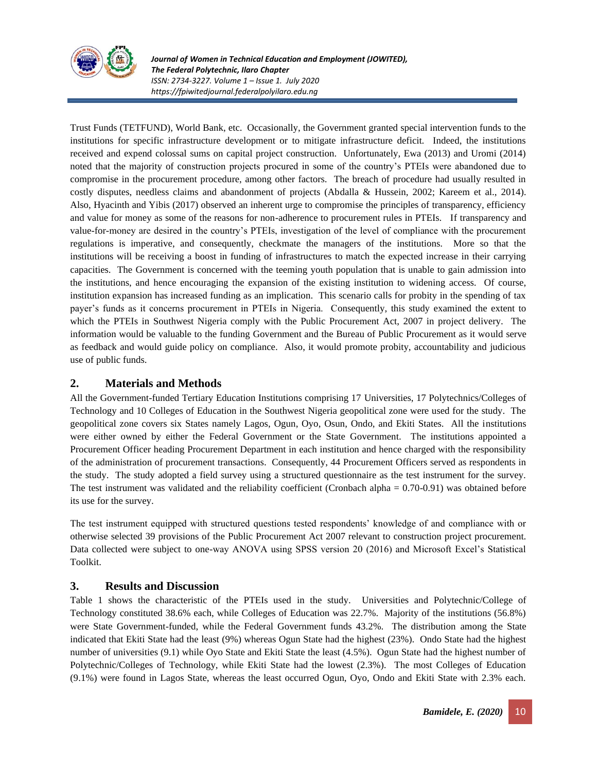

*Journal of Women in Technical Education and Employment (JOWITED), The Federal Polytechnic, Ilaro Chapter ISSN: 2734-3227. Volume 1 – Issue 1. July 2020 https://fpiwitedjournal.federalpolyilaro.edu.ng*

Trust Funds (TETFUND), World Bank, etc. Occasionally, the Government granted special intervention funds to the institutions for specific infrastructure development or to mitigate infrastructure deficit. Indeed, the institutions received and expend colossal sums on capital project construction. Unfortunately, Ewa (2013) and Uromi (2014) noted that the majority of construction projects procured in some of the country's PTEIs were abandoned due to compromise in the procurement procedure, among other factors. The breach of procedure had usually resulted in costly disputes, needless claims and abandonment of projects (Abdalla & Hussein, 2002; Kareem et al., 2014). Also, Hyacinth and Yibis (2017) observed an inherent urge to compromise the principles of transparency, efficiency and value for money as some of the reasons for non-adherence to procurement rules in PTEIs. If transparency and value-for-money are desired in the country's PTEIs, investigation of the level of compliance with the procurement regulations is imperative, and consequently, checkmate the managers of the institutions. More so that the institutions will be receiving a boost in funding of infrastructures to match the expected increase in their carrying capacities. The Government is concerned with the teeming youth population that is unable to gain admission into the institutions, and hence encouraging the expansion of the existing institution to widening access. Of course, institution expansion has increased funding as an implication. This scenario calls for probity in the spending of tax payer's funds as it concerns procurement in PTEIs in Nigeria. Consequently, this study examined the extent to which the PTEIs in Southwest Nigeria comply with the Public Procurement Act, 2007 in project delivery. The information would be valuable to the funding Government and the Bureau of Public Procurement as it would serve as feedback and would guide policy on compliance. Also, it would promote probity, accountability and judicious use of public funds.

## **2. Materials and Methods**

All the Government-funded Tertiary Education Institutions comprising 17 Universities, 17 Polytechnics/Colleges of Technology and 10 Colleges of Education in the Southwest Nigeria geopolitical zone were used for the study. The geopolitical zone covers six States namely Lagos, Ogun, Oyo, Osun, Ondo, and Ekiti States. All the institutions were either owned by either the Federal Government or the State Government. The institutions appointed a Procurement Officer heading Procurement Department in each institution and hence charged with the responsibility of the administration of procurement transactions. Consequently, 44 Procurement Officers served as respondents in the study. The study adopted a field survey using a structured questionnaire as the test instrument for the survey. The test instrument was validated and the reliability coefficient (Cronbach alpha = 0.70-0.91) was obtained before its use for the survey.

The test instrument equipped with structured questions tested respondents' knowledge of and compliance with or otherwise selected 39 provisions of the Public Procurement Act 2007 relevant to construction project procurement. Data collected were subject to one-way ANOVA using SPSS version 20 (2016) and Microsoft Excel's Statistical Toolkit.

## **3. Results and Discussion**

Table 1 shows the characteristic of the PTEIs used in the study. Universities and Polytechnic/College of Technology constituted 38.6% each, while Colleges of Education was 22.7%. Majority of the institutions (56.8%) were State Government-funded, while the Federal Government funds 43.2%. The distribution among the State indicated that Ekiti State had the least (9%) whereas Ogun State had the highest (23%). Ondo State had the highest number of universities (9.1) while Oyo State and Ekiti State the least (4.5%). Ogun State had the highest number of Polytechnic/Colleges of Technology, while Ekiti State had the lowest (2.3%). The most Colleges of Education (9.1%) were found in Lagos State, whereas the least occurred Ogun, Oyo, Ondo and Ekiti State with 2.3% each.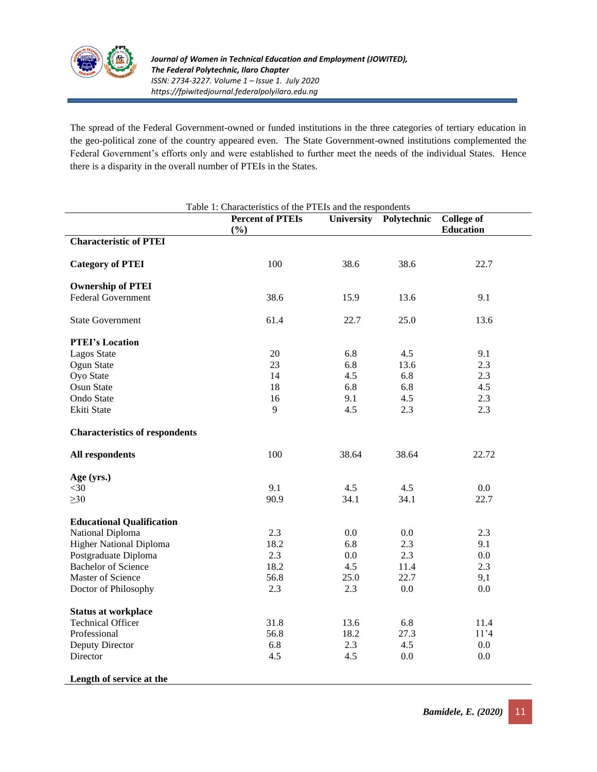

The spread of the Federal Government-owned or funded institutions in the three categories of tertiary education in the geo-political zone of the country appeared even. The State Government-owned institutions complemented the Federal Government's efforts only and were established to further meet the needs of the individual States. Hence there is a disparity in the overall number of PTEIs in the States.

| Table 1: Characteristics of the PTEIs and the respondents |                                |            |             |                                       |  |  |  |
|-----------------------------------------------------------|--------------------------------|------------|-------------|---------------------------------------|--|--|--|
|                                                           | <b>Percent of PTEIs</b><br>(%) | University | Polytechnic | <b>College of</b><br><b>Education</b> |  |  |  |
| <b>Characteristic of PTEI</b>                             |                                |            |             |                                       |  |  |  |
| <b>Category of PTEI</b>                                   | 100                            | 38.6       | 38.6        | 22.7                                  |  |  |  |
| <b>Ownership of PTEI</b>                                  |                                |            |             |                                       |  |  |  |
| <b>Federal Government</b>                                 | 38.6                           | 15.9       | 13.6        | 9.1                                   |  |  |  |
| <b>State Government</b>                                   | 61.4                           | 22.7       | 25.0        | 13.6                                  |  |  |  |
| <b>PTEI's Location</b>                                    |                                |            |             |                                       |  |  |  |
| <b>Lagos State</b>                                        | 20                             | 6.8        | 4.5         | 9.1                                   |  |  |  |
| Ogun State                                                | 23                             | 6.8        | 13.6        | 2.3                                   |  |  |  |
| Oyo State                                                 | 14                             | 4.5        | 6.8         | 2.3                                   |  |  |  |
| Osun State                                                | 18                             | 6.8        | 6.8         | 4.5                                   |  |  |  |
| Ondo State                                                | 16                             | 9.1        | 4.5         | 2.3                                   |  |  |  |
| Ekiti State                                               | 9                              | 4.5        | 2.3         | 2.3                                   |  |  |  |
| <b>Characteristics of respondents</b>                     |                                |            |             |                                       |  |  |  |
| All respondents                                           | 100                            | 38.64      | 38.64       | 22.72                                 |  |  |  |
| Age (yrs.)                                                |                                |            |             |                                       |  |  |  |
| $<$ 30                                                    | 9.1                            | 4.5        | 4.5         | $0.0\,$                               |  |  |  |
| $\geq 30$                                                 | 90.9                           | 34.1       | 34.1        | 22.7                                  |  |  |  |
| <b>Educational Qualification</b>                          |                                |            |             |                                       |  |  |  |
| National Diploma                                          | 2.3                            | 0.0        | 0.0         | 2.3                                   |  |  |  |
| <b>Higher National Diploma</b>                            | 18.2                           | 6.8        | 2.3         | 9.1                                   |  |  |  |
| Postgraduate Diploma                                      | 2.3                            | 0.0        | 2.3         | 0.0                                   |  |  |  |
| <b>Bachelor of Science</b>                                | 18.2                           | 4.5        | 11.4        | 2.3                                   |  |  |  |
| Master of Science                                         | 56.8                           | 25.0       | 22.7        | 9,1                                   |  |  |  |
| Doctor of Philosophy                                      | 2.3                            | 2.3        | $0.0\,$     | 0.0                                   |  |  |  |
| <b>Status at workplace</b>                                |                                |            |             |                                       |  |  |  |
| <b>Technical Officer</b>                                  | 31.8                           | 13.6       | 6.8         | 11.4                                  |  |  |  |
| Professional                                              | 56.8                           | 18.2       | 27.3        | 11'4                                  |  |  |  |
| Deputy Director                                           | 6.8                            | 2.3        | 4.5         | $0.0\,$                               |  |  |  |
| Director                                                  | 4.5                            | 4.5        | 0.0         | 0.0                                   |  |  |  |
| Length of service at the                                  |                                |            |             |                                       |  |  |  |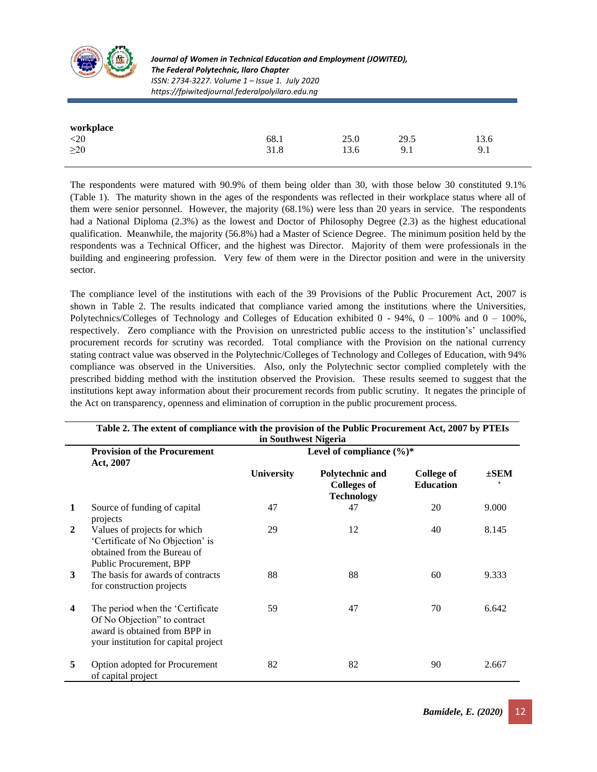

*Journal of Women in Technical Education and Employment (JOWITED), The Federal Polytechnic, Ilaro Chapter ISSN: 2734-3227. Volume 1 – Issue 1. July 2020 https://fpiwitedjournal.federalpolyilaro.edu.ng*

| workplace |      |      |      |      |  |
|-----------|------|------|------|------|--|
| $<$ 20    | 68.1 | 25.0 | 29.5 | 13.6 |  |
| $\geq$ 20 | 31.8 | 13.6 | 9.1  | 9.1  |  |

The respondents were matured with 90.9% of them being older than 30, with those below 30 constituted 9.1% (Table 1). The maturity shown in the ages of the respondents was reflected in their workplace status where all of them were senior personnel. However, the majority (68.1%) were less than 20 years in service. The respondents had a National Diploma (2.3%) as the lowest and Doctor of Philosophy Degree (2.3) as the highest educational qualification. Meanwhile, the majority (56.8%) had a Master of Science Degree. The minimum position held by the respondents was a Technical Officer, and the highest was Director. Majority of them were professionals in the building and engineering profession. Very few of them were in the Director position and were in the university sector.

The compliance level of the institutions with each of the 39 Provisions of the Public Procurement Act, 2007 is shown in Table 2. The results indicated that compliance varied among the institutions where the Universities, Polytechnics/Colleges of Technology and Colleges of Education exhibited  $0 - 94\%$ ,  $0 - 100\%$  and  $0 - 100\%$ , respectively. Zero compliance with the Provision on unrestricted public access to the institution's' unclassified procurement records for scrutiny was recorded. Total compliance with the Provision on the national currency stating contract value was observed in the Polytechnic/Colleges of Technology and Colleges of Education, with 94% compliance was observed in the Universities. Also, only the Polytechnic sector complied completely with the prescribed bidding method with the institution observed the Provision. These results seemed to suggest that the institutions kept away information about their procurement records from public scrutiny. It negates the principle of the Act on transparency, openness and elimination of corruption in the public procurement process.

|              | Table 2. The extent of compliance with the provision of the Public Procurement Act, 2007 by PTEIs<br>in Southwest Nigeria                  |                              |                                                            |                                       |           |  |
|--------------|--------------------------------------------------------------------------------------------------------------------------------------------|------------------------------|------------------------------------------------------------|---------------------------------------|-----------|--|
|              | <b>Provision of the Procurement</b><br>Act, 2007                                                                                           | Level of compliance $(\%)^*$ |                                                            |                                       |           |  |
|              |                                                                                                                                            | <b>University</b>            | Polytechnic and<br><b>Colleges of</b><br><b>Technology</b> | <b>College of</b><br><b>Education</b> | $\pm$ SEM |  |
| 1            | Source of funding of capital<br>projects                                                                                                   | 47                           | 47                                                         | 20                                    | 9.000     |  |
| $\mathbf{2}$ | Values of projects for which<br>'Certificate of No Objection' is<br>obtained from the Bureau of<br>Public Procurement, BPP                 | 29                           | 12                                                         | 40                                    | 8.145     |  |
| 3            | The basis for awards of contracts<br>for construction projects                                                                             | 88                           | 88                                                         | 60                                    | 9.333     |  |
| 4            | The period when the 'Certificate'<br>Of No Objection" to contract<br>award is obtained from BPP in<br>your institution for capital project | 59                           | 47                                                         | 70                                    | 6.642     |  |
| 5            | Option adopted for Procurement<br>of capital project                                                                                       | 82                           | 82                                                         | 90                                    | 2.667     |  |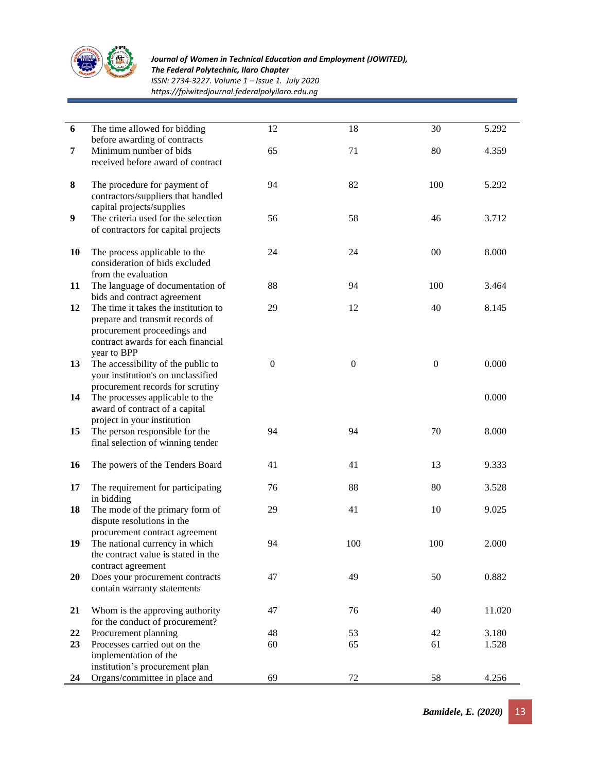

*The Federal Polytechnic, Ilaro Chapter*

*ISSN: 2734-3227. Volume 1 – Issue 1. July 2020*

*https://fpiwitedjournal.federalpolyilaro.edu.ng*

| 6                | The time allowed for bidding<br>before awarding of contracts                                                                                                | 12           | 18               | 30               | 5.292          |
|------------------|-------------------------------------------------------------------------------------------------------------------------------------------------------------|--------------|------------------|------------------|----------------|
| 7                | Minimum number of bids<br>received before award of contract                                                                                                 | 65           | 71               | 80               | 4.359          |
| 8                | The procedure for payment of<br>contractors/suppliers that handled<br>capital projects/supplies                                                             | 94           | 82               | 100              | 5.292          |
| $\boldsymbol{9}$ | The criteria used for the selection<br>of contractors for capital projects                                                                                  | 56           | 58               | 46               | 3.712          |
| 10               | The process applicable to the<br>consideration of bids excluded<br>from the evaluation                                                                      | 24           | 24               | $00\,$           | 8.000          |
| 11               | The language of documentation of<br>bids and contract agreement                                                                                             | 88           | 94               | 100              | 3.464          |
| 12               | The time it takes the institution to<br>prepare and transmit records of<br>procurement proceedings and<br>contract awards for each financial<br>year to BPP | 29           | 12               | 40               | 8.145          |
| 13<br>14         | The accessibility of the public to<br>your institution's on unclassified<br>procurement records for scrutiny<br>The processes applicable to the             | $\mathbf{0}$ | $\boldsymbol{0}$ | $\boldsymbol{0}$ | 0.000<br>0.000 |
| 15               | award of contract of a capital<br>project in your institution<br>The person responsible for the<br>final selection of winning tender                        | 94           | 94               | 70               | 8.000          |
| 16               | The powers of the Tenders Board                                                                                                                             | 41           | 41               | 13               | 9.333          |
| 17               | The requirement for participating<br>in bidding                                                                                                             | 76           | 88               | 80               | 3.528          |
| 18               | The mode of the primary form of<br>dispute resolutions in the<br>procurement contract agreement                                                             | 29           | 41               | 10               | 9.025          |
| 19               | The national currency in which<br>the contract value is stated in the<br>contract agreement                                                                 | 94           | 100              | 100              | 2.000          |
| <b>20</b>        | Does your procurement contracts<br>contain warranty statements                                                                                              | 47           | 49               | 50               | 0.882          |
| 21               | Whom is the approving authority<br>for the conduct of procurement?                                                                                          | 47           | 76               | 40               | 11.020         |
| 22               | Procurement planning                                                                                                                                        | 48           | 53               | 42               | 3.180          |
| 23               | Processes carried out on the<br>implementation of the<br>institution's procurement plan                                                                     | 60           | 65               | 61               | 1.528          |
| 24               | Organs/committee in place and                                                                                                                               | 69           | $72\,$           | 58               | 4.256          |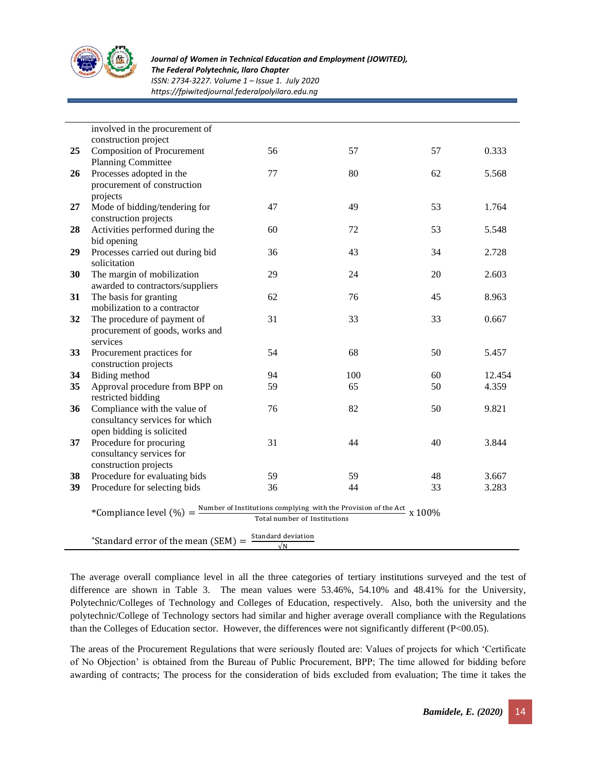

*The Federal Polytechnic, Ilaro Chapter*

*ISSN: 2734-3227. Volume 1 – Issue 1. July 2020*

*https://fpiwitedjournal.federalpolyilaro.edu.ng*

|          | involved in the procurement of                                                                                                               |                    |           |        |        |
|----------|----------------------------------------------------------------------------------------------------------------------------------------------|--------------------|-----------|--------|--------|
|          | construction project                                                                                                                         |                    |           |        |        |
| 25       | <b>Composition of Procurement</b>                                                                                                            | 56                 | 57        | 57     | 0.333  |
|          | <b>Planning Committee</b>                                                                                                                    |                    |           |        |        |
| 26       | Processes adopted in the                                                                                                                     | 77                 | 80        | 62     | 5.568  |
|          | procurement of construction                                                                                                                  |                    |           |        |        |
|          | projects                                                                                                                                     |                    |           |        |        |
| 27       | Mode of bidding/tendering for                                                                                                                | 47                 | 49        | 53     | 1.764  |
|          | construction projects                                                                                                                        |                    |           |        |        |
| 28       | Activities performed during the                                                                                                              | 60                 | 72        | 53     | 5.548  |
|          | bid opening                                                                                                                                  |                    |           |        |        |
| 29       | Processes carried out during bid                                                                                                             | 36                 | 43        | 34     | 2.728  |
|          | solicitation                                                                                                                                 |                    |           |        |        |
| 30       | The margin of mobilization                                                                                                                   | 29                 | 24        | 20     | 2.603  |
|          | awarded to contractors/suppliers                                                                                                             |                    |           |        |        |
| 31       | The basis for granting                                                                                                                       | 62                 | 76        | 45     | 8.963  |
|          | mobilization to a contractor                                                                                                                 |                    |           |        |        |
| 32       | The procedure of payment of                                                                                                                  | 31                 | 33        | 33     | 0.667  |
|          | procurement of goods, works and                                                                                                              |                    |           |        |        |
|          | services                                                                                                                                     |                    |           |        |        |
| 33       | Procurement practices for                                                                                                                    | 54                 | 68        | 50     | 5.457  |
|          | construction projects                                                                                                                        | 94                 |           | 60     | 12.454 |
| 34<br>35 | Biding method<br>Approval procedure from BPP on                                                                                              | 59                 | 100<br>65 | 50     | 4.359  |
|          |                                                                                                                                              |                    |           |        |        |
| 36       | restricted bidding<br>Compliance with the value of                                                                                           | 76                 | 82        | 50     | 9.821  |
|          | consultancy services for which                                                                                                               |                    |           |        |        |
|          | open bidding is solicited                                                                                                                    |                    |           |        |        |
| 37       | Procedure for procuring                                                                                                                      | 31                 | 44        | 40     | 3.844  |
|          | consultancy services for                                                                                                                     |                    |           |        |        |
|          | construction projects                                                                                                                        |                    |           |        |        |
| 38       | Procedure for evaluating bids                                                                                                                | 59                 | 59        | 48     | 3.667  |
| 39       | Procedure for selecting bids                                                                                                                 | 36                 | 44        | 33     | 3.283  |
|          |                                                                                                                                              |                    |           |        |        |
|          |                                                                                                                                              |                    |           | x 100% |        |
|          | *Compliance level $(\%) = \frac{\text{Number of institutions complying with the Provision of the Act}}{\pi}$<br>Total number of Institutions |                    |           |        |        |
|          |                                                                                                                                              | Standard deviation |           |        |        |
|          | $*$ Standard error of the mean (SEM) =                                                                                                       | $\sqrt{N}$         |           |        |        |

The average overall compliance level in all the three categories of tertiary institutions surveyed and the test of difference are shown in Table 3. The mean values were 53.46%, 54.10% and 48.41% for the University, Polytechnic/Colleges of Technology and Colleges of Education, respectively. Also, both the university and the polytechnic/College of Technology sectors had similar and higher average overall compliance with the Regulations than the Colleges of Education sector. However, the differences were not significantly different (P<00.05).

The areas of the Procurement Regulations that were seriously flouted are: Values of projects for which 'Certificate of No Objection' is obtained from the Bureau of Public Procurement, BPP; The time allowed for bidding before awarding of contracts; The process for the consideration of bids excluded from evaluation; The time it takes the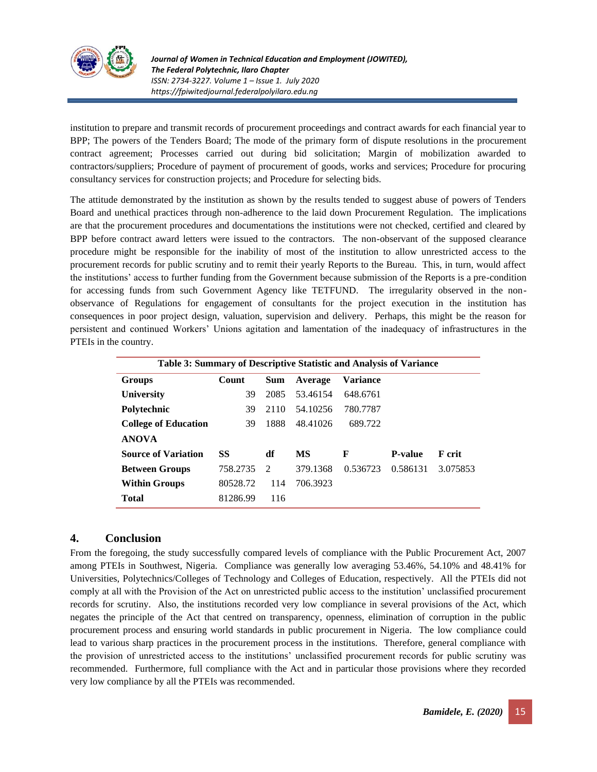

*Journal of Women in Technical Education and Employment (JOWITED), The Federal Polytechnic, Ilaro Chapter ISSN: 2734-3227. Volume 1 – Issue 1. July 2020 https://fpiwitedjournal.federalpolyilaro.edu.ng*

institution to prepare and transmit records of procurement proceedings and contract awards for each financial year to BPP; The powers of the Tenders Board; The mode of the primary form of dispute resolutions in the procurement contract agreement; Processes carried out during bid solicitation; Margin of mobilization awarded to contractors/suppliers; Procedure of payment of procurement of goods, works and services; Procedure for procuring consultancy services for construction projects; and Procedure for selecting bids.

The attitude demonstrated by the institution as shown by the results tended to suggest abuse of powers of Tenders Board and unethical practices through non-adherence to the laid down Procurement Regulation. The implications are that the procurement procedures and documentations the institutions were not checked, certified and cleared by BPP before contract award letters were issued to the contractors. The non-observant of the supposed clearance procedure might be responsible for the inability of most of the institution to allow unrestricted access to the procurement records for public scrutiny and to remit their yearly Reports to the Bureau. This, in turn, would affect the institutions' access to further funding from the Government because submission of the Reports is a pre-condition for accessing funds from such Government Agency like TETFUND. The irregularity observed in the nonobservance of Regulations for engagement of consultants for the project execution in the institution has consequences in poor project design, valuation, supervision and delivery. Perhaps, this might be the reason for persistent and continued Workers' Unions agitation and lamentation of the inadequacy of infrastructures in the PTEIs in the country.

| Table 3: Summary of Descriptive Statistic and Analysis of Variance |          |               |          |          |                |               |  |  |
|--------------------------------------------------------------------|----------|---------------|----------|----------|----------------|---------------|--|--|
| Groups                                                             | Count    | <b>Sum</b>    | Average  | Variance |                |               |  |  |
| <b>University</b>                                                  | 39       | 2085          | 53.46154 | 648.6761 |                |               |  |  |
| Polytechnic                                                        | 39       | 2110          | 54.10256 | 780,7787 |                |               |  |  |
| <b>College of Education</b>                                        | 39       | 1888          | 48.41026 | 689.722  |                |               |  |  |
| <b>ANOVA</b>                                                       |          |               |          |          |                |               |  |  |
| <b>Source of Variation</b>                                         | SS       | df            | MS       | F        | <b>P-value</b> | <b>F</b> crit |  |  |
| <b>Between Groups</b>                                              | 758.2735 | $\mathcal{D}$ | 379.1368 | 0.536723 | 0.586131       | 3.075853      |  |  |
| <b>Within Groups</b>                                               | 80528.72 | 114           | 706.3923 |          |                |               |  |  |
| <b>Total</b>                                                       | 81286.99 | 116           |          |          |                |               |  |  |

## **4. Conclusion**

From the foregoing, the study successfully compared levels of compliance with the Public Procurement Act, 2007 among PTEIs in Southwest, Nigeria. Compliance was generally low averaging 53.46%, 54.10% and 48.41% for Universities, Polytechnics/Colleges of Technology and Colleges of Education, respectively. All the PTEIs did not comply at all with the Provision of the Act on unrestricted public access to the institution' unclassified procurement records for scrutiny. Also, the institutions recorded very low compliance in several provisions of the Act, which negates the principle of the Act that centred on transparency, openness, elimination of corruption in the public procurement process and ensuring world standards in public procurement in Nigeria. The low compliance could lead to various sharp practices in the procurement process in the institutions. Therefore, general compliance with the provision of unrestricted access to the institutions' unclassified procurement records for public scrutiny was recommended. Furthermore, full compliance with the Act and in particular those provisions where they recorded very low compliance by all the PTEIs was recommended.